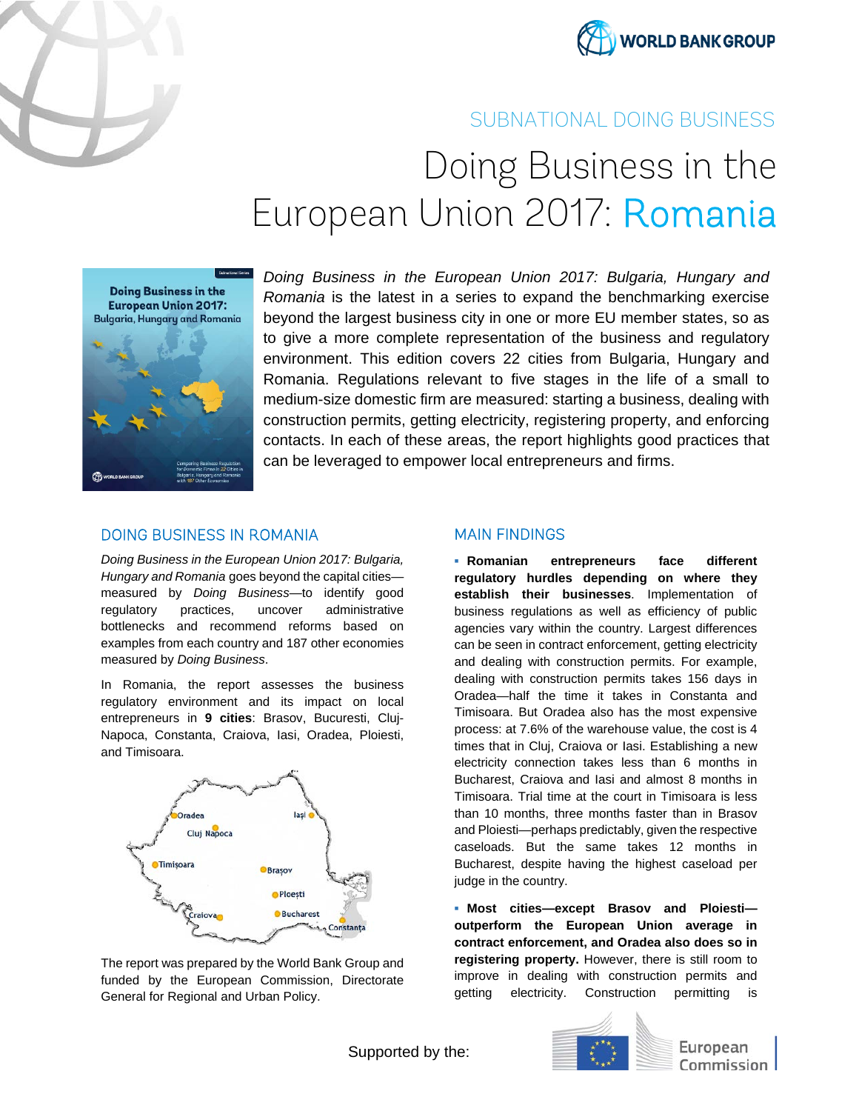



## SUBNATIONAL DOING BUSINESS

# Doing Business in the European Union 2017: Romania



*Doing Business in the European Union 2017: Bulgaria, Hungary and Romania* is the latest in a series to expand the benchmarking exercise beyond the largest business city in one or more EU member states, so as to give a more complete representation of the business and regulatory environment. This edition covers 22 cities from Bulgaria, Hungary and Romania. Regulations relevant to five stages in the life of a small to medium-size domestic firm are measured: starting a business, dealing with construction permits, getting electricity, registering property, and enforcing contacts. In each of these areas, the report highlights good practices that can be leveraged to empower local entrepreneurs and firms.

### DOING BUSINESS IN ROMANIA

*Doing Business in the European Union 2017: Bulgaria, Hungary and Romania* goes beyond the capital cities measured by *Doing Business—*to identify good regulatory practices, uncover administrative bottlenecks and recommend reforms based on examples from each country and 187 other economies measured by *Doing Business*.

In Romania, the report assesses the business regulatory environment and its impact on local entrepreneurs in **9 cities**: Brasov, Bucuresti, Cluj-Napoca, Constanta, Craiova, Iasi, Oradea, Ploiesti, and Timisoara.



The report was prepared by the World Bank Group and funded by the European Commission, Directorate General for Regional and Urban Policy.

#### MAIN FINDINGS

**▪ Romanian entrepreneurs face different regulatory hurdles depending on where they establish their businesses**. Implementation of business regulations as well as efficiency of public agencies vary within the country. Largest differences can be seen in contract enforcement, getting electricity and dealing with construction permits. For example, dealing with construction permits takes 156 days in Oradea—half the time it takes in Constanta and Timisoara. But Oradea also has the most expensive process: at 7.6% of the warehouse value, the cost is 4 times that in Cluj, Craiova or Iasi. Establishing a new electricity connection takes less than 6 months in Bucharest, Craiova and Iasi and almost 8 months in Timisoara. Trial time at the court in Timisoara is less than 10 months, three months faster than in Brasov and Ploiesti—perhaps predictably, given the respective caseloads. But the same takes 12 months in Bucharest, despite having the highest caseload per judge in the country.

**▪ Most cities—except Brasov and Ploiesti outperform the European Union average in contract enforcement, and Oradea also does so in registering property.** However, there is still room to improve in dealing with construction permits and getting electricity. Construction permitting is